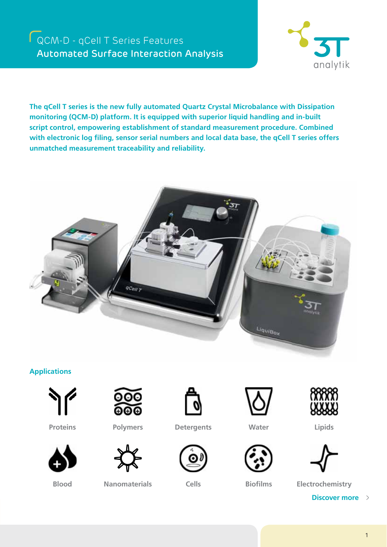

**The qCell T series is the new fully automated Quartz Crystal Microbalance with Dissipation monitoring (QCM-D) platform. It is equipped with superior liquid handling and in-built script control, empowering establishment of standard measurement procedure. Combined**  with electronic log filing, sensor serial numbers and local data base, the qCell T series offers **unmatched measurement traceability and reliability.**



## **Applications**









**Blood** Nanomaterials Cells Biofilms Electrochemistry



Proteins Polymers Detergents Water Lipids











**Discover more** >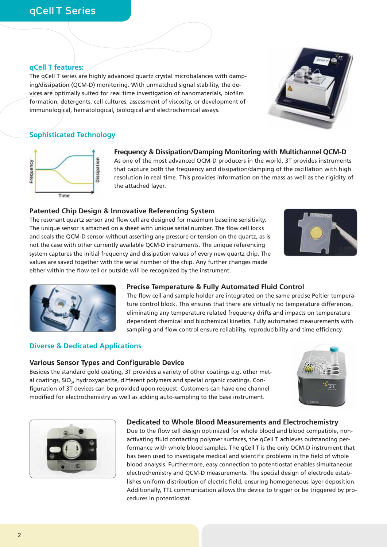# qCell T Series

#### **qCell T features:**

The qCell T series are highly advanced quartz crystal microbalances with damping/dissipation (QCM-D) monitoring. With unmatched signal stability, the devices are optimally suited for real time investigation of nanomaterials, biofilm formation, detergents, cell cultures, assessment of viscosity, or development of immunological, hematological, biological and electrochemical assays.

## **Sophisticated Technology**

# Dissipation Frequency Time

## **Frequency & Dissipation/Damping Monitoring with Multichannel QCM-D**

As one of the most advanced QCM-D producers in the world, 3T provides instruments that capture both the frequency and dissipation/damping of the oscillation with high resolution in real time. This provides information on the mass as well as the rigidity of the attached layer.

#### **Patented Chip Design & Innovative Referencing System**

The resonant quartz sensor and flow cell are designed for maximum baseline sensitivity. The unique sensor is attached on a sheet with unique serial number. The flow cell locks and seals the QCM-D sensor without asserting any pressure or tension on the quartz, as is not the case with other currently available QCM-D instruments. The unique referencing system captures the initial frequency and dissipation values of every new quartz chip. The values are saved together with the serial number of the chip. Any further changes made either within the flow cell or outside will be recognized by the instrument.





### **Precise Temperature & Fully Automated Fluid Control**

The flow cell and sample holder are integrated on the same precise Peltier temperature control block. This ensures that there are virtually no temperature differences, eliminating any temperature related frequency drifts and impacts on temperature dependent chemical and biochemical kinetics. Fully automated measurements with sampling and flow control ensure reliability, reproducibility and time efficiency.

#### **Diverse & Dedicated Applications**

#### **Various Sensor Types and Configurable Device**

Besides the standard gold coating, 3T provides a variety of other coatings e.g. other metal coatings, SiO<sub>2</sub>, hydroxyapatite, different polymers and special organic coatings. Configuration of 3T devices can be provided upon request. Customers can have one channel modified for electrochemistry as well as adding auto-sampling to the base instrument.





#### **Dedicated to Whole Blood Measurements and Electrochemistry**

Due to the flow cell design optimized for whole blood and blood compatible, nonactivating fluid contacting polymer surfaces, the gCell T achieves outstanding performance with whole blood samples. The qCell T is the only QCM-D instrument that has been used to investigate medical and scientific problems in the field of whole blood analysis. Furthermore, easy connection to potentiostat enables simultaneous electrochemistry and QCM-D measurements. The special design of electrode establishes uniform distribution of electric field, ensuring homogeneous layer deposition. Additionally, TTL communication allows the device to trigger or be triggered by procedures in potentiostat.

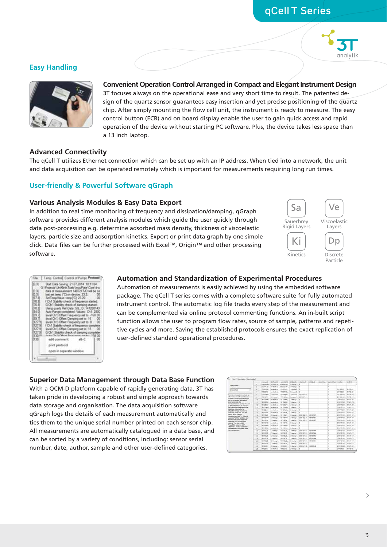# qCell T Series



#### **Easy Handling**



#### **Convenient Operation Control Arranged in Compact and Elegant Instrument Design**

3T focuses always on the operational ease and very short time to result. The patented design of the quartz sensor guarantees easy insertion and yet precise positioning of the quartz chip. After simply mounting the flow cell unit, the instrument is ready to measure. The easy control button (ECB) and on board display enable the user to gain quick access and rapid operation of the device without starting PC software. Plus, the device takes less space than a 13 inch laptop.

#### **Advanced Connectivity**

The qCell T utilizes Ethernet connection which can be set up with an IP address. When tied into a network, the unit and data acquisition can be operated remotely which is important for measurements requiring long run times.

#### **User-friendly & Powerful Software qGraph**

#### **Various Analysis Modules & Easy Data Export**

In addition to real time monitoring of frequency and dissipation/damping, qGraph software provides different analysis modules which guide the user quickly through data post-processing e.g. determine adsorbed mass density, thickness of viscoelastic layers, particle size and adsorption kinetics. Export or print data graph by one simple click. Data files can be further processed with Excel™, Origin™ and other processing software.





#### **Automation and Standardization of Experimental Procedures**

Automation of measurements is easily achieved by using the embedded software package. The qCell T series comes with a complete software suite for fully automated instrument control. The automatic log file tracks every step of the measurement and can be complemented via online protocol commenting functions. An in-built script function allows the user to program flow rates, source of sample, patterns and repetitive cycles and more. Saving the established protocols ensures the exact replication of user-defined standard operational procedures.

#### **Superior Data Management through Data Base Function**

With a QCM-D platform capable of rapidly generating data, 3T has taken pride in developing a robust and simple approach towards data storage and organisation. The data acquisition software qGraph logs the details of each measurement automatically and ties them to the unique serial number printed on each sensor chip. All measurements are automatically catalogued in a data base, and can be sorted by a variety of conditions, including: sensor serial number, date, author, sample and other user-defined categories.

|                                                                                                                                                                                                                                                                                                                                                                                                                                                                                                                                                                                                                                                                                                                                       |                          | <b>Industry</b>        |                     | BARNERS I AproData Literature Ltd Star of |                                 |                                                | 167.32                  | <b>Boundary, Changillon Doctor</b> |                                 | mediat             |  |
|---------------------------------------------------------------------------------------------------------------------------------------------------------------------------------------------------------------------------------------------------------------------------------------------------------------------------------------------------------------------------------------------------------------------------------------------------------------------------------------------------------------------------------------------------------------------------------------------------------------------------------------------------------------------------------------------------------------------------------------|--------------------------|------------------------|---------------------|-------------------------------------------|---------------------------------|------------------------------------------------|-------------------------|------------------------------------|---------------------------------|--------------------|--|
| <b>Asked view</b>                                                                                                                                                                                                                                                                                                                                                                                                                                                                                                                                                                                                                                                                                                                     |                          |                        |                     | weekned in richts. Issekned C-Lietan, 10  |                                 |                                                |                         |                                    |                                 |                    |  |
|                                                                                                                                                                                                                                                                                                                                                                                                                                                                                                                                                                                                                                                                                                                                       |                          | Date Drf. 28.          |                     |                                           | Toda Dist 29  Critique (pr)  Il |                                                |                         |                                    |                                 |                    |  |
| <b>Impactibility</b><br>×.                                                                                                                                                                                                                                                                                                                                                                                                                                                                                                                                                                                                                                                                                                            |                          | trestowed              | Tom and a May Au-   |                                           | <b>HASTARD C. Proceed B.</b>    |                                                |                         |                                    | 101123-27                       | arrives as         |  |
|                                                                                                                                                                                                                                                                                                                                                                                                                                                                                                                                                                                                                                                                                                                                       |                          | 17022A/Z               | two arts that he    |                                           | Charles C-Peaced                |                                                |                         |                                    | 2017/05/25                      | 2017-01-20         |  |
| The cliental detailers inflatin up. 11<br>columnation and industrial agencies<br>publican measurement comical<br>and an Big benefit device and<br><b>Description Sale of a</b><br>massurement as input for the cost<br>in Variathleashed," in case was<br>bod insufficient data have or the<br><b>Statutune city series bed in</b><br>whapither wraph you read to<br>close this panel and bum that<br>French behavil Tameli<br>magazinessed data" in "internal<br>dutationed to 52 a dutatione and<br>hicknowledge open this same.<br><b>Hetebaue book this panel for</b><br>Lieuvog The deal in baller<br><b>Telephone Columns TeleCo</b><br>Winniped Art & Services<br>may be adjust and setters have<br>nis its subdoor.<br>$\sim$ |                          | <b>1703204WC</b>       | C-PowerD            |                                           |                                 | (WILMAN), C-Peaked, 2017-01211.                |                         |                                    | JE1545-221  (JE1545-221)        |                    |  |
|                                                                                                                                                                                                                                                                                                                                                                                                                                                                                                                                                                                                                                                                                                                                       |                          | 170316KYLL             | C1Pages1            |                                           |                                 | 152/000 CVHpack 2010/23/81                     |                         |                                    | 301529-N.1 201545-N.1           |                    |  |
|                                                                                                                                                                                                                                                                                                                                                                                                                                                                                                                                                                                                                                                                                                                                       | w                        | <b>1871SIMAG</b>       | ing only like his   |                                           | <b>STIERER'S CALLANGE B</b>     |                                                |                         |                                    | 2010/07/28 1  2010/11/28 1.     |                    |  |
|                                                                                                                                                                                                                                                                                                                                                                                                                                                                                                                                                                                                                                                                                                                                       | 48                       | 161176-MW              | ing and the fact    |                                           | NETOLINIA COLLANDO E            |                                                |                         |                                    | 2014/11/93 2016 11:20:0         |                    |  |
|                                                                                                                                                                                                                                                                                                                                                                                                                                                                                                                                                                                                                                                                                                                                       | 12                       | 141138301              | the wife like for   |                                           | NETORGET Children's E           |                                                |                         |                                    | 2016-11241 - 2016-11281         |                    |  |
|                                                                                                                                                                                                                                                                                                                                                                                                                                                                                                                                                                                                                                                                                                                                       | $+1$                     | <b>NITIZEGN</b>        | the state like for- |                                           | testizinist. Chiamnist. 8       |                                                |                         |                                    | 3816-11-22-1 2016-11-22-1       |                    |  |
|                                                                                                                                                                                                                                                                                                                                                                                                                                                                                                                                                                                                                                                                                                                                       | ×                        | 161122040              | on this like for    |                                           | MITERNAL CHAMBER 10             |                                                |                         |                                    | 2010/11/22 1 22:06 11:22 1      |                    |  |
|                                                                                                                                                                                                                                                                                                                                                                                                                                                                                                                                                                                                                                                                                                                                       | ×                        | <b>NIVERSA</b>         | ing, only big for   |                                           | MITZKAK Citaeran, B.            |                                                |                         |                                    | 2010 11:22 1 2010 11:22 1       |                    |  |
|                                                                                                                                                                                                                                                                                                                                                                                                                                                                                                                                                                                                                                                                                                                                       | $\sim$                   | NITHROE                | Crimelet            |                                           |                                 | NITION, C-Lewish, 2016-10281, INFORMATI        |                         |                                    | 201621-1011 201621-2011         |                    |  |
|                                                                                                                                                                                                                                                                                                                                                                                                                                                                                                                                                                                                                                                                                                                                       | <b>TT</b>                | 161719Pers             | Children of L.      |                                           |                                 | NETTRING  (C) Deedsn  (2016) 12:26 r  (MERCOST |                         |                                    | 2016 YLNEY 2016 FLNEY           |                    |  |
|                                                                                                                                                                                                                                                                                                                                                                                                                                                                                                                                                                                                                                                                                                                                       | $\sim$                   | <b>MATRICK</b>         | 2. Userval          |                                           |                                 | 18111913. Children Jamisbatt, Internation      |                         |                                    | bring in solid 1 being ris as a |                    |  |
|                                                                                                                                                                                                                                                                                                                                                                                                                                                                                                                                                                                                                                                                                                                                       | $\mathbf{r}$             | 161110740              | low and a the fits. |                                           | <b>SEREDINAL Children's E</b>   |                                                |                         |                                    | 2016.11-12.1  2016.11-12.1      |                    |  |
|                                                                                                                                                                                                                                                                                                                                                                                                                                                                                                                                                                                                                                                                                                                                       | $\overline{1}$           | <b>MITTEREST</b>       | our side that he    |                                           | MITIMED Chiesalah, B            |                                                |                         |                                    | 2014-71-12-4  2016-71-12-5      |                    |  |
|                                                                                                                                                                                                                                                                                                                                                                                                                                                                                                                                                                                                                                                                                                                                       | 26                       | 101110414              | tion and a blacks.  |                                           | 16110MLA C:Llawan               |                                                |                         |                                    | 5010 1112 1 1010 1112 1         |                    |  |
|                                                                                                                                                                                                                                                                                                                                                                                                                                                                                                                                                                                                                                                                                                                                       | n                        | 101013628              | IT this might       |                                           |                                 | MORTA IT Chapter, 1976 NOLL.                   | TRAPPORTING             |                                    | 301610121 201610121             |                    |  |
|                                                                                                                                                                                                                                                                                                                                                                                                                                                                                                                                                                                                                                                                                                                                       | n                        | 1410116-79             | Citizenton,         |                                           |                                 | WIRELL CHANNEL 275-50121.                      | <b><i>MENSETALE</i></b> |                                    | 2016/05/17 1.                   | <b>DESCRIPTION</b> |  |
|                                                                                                                                                                                                                                                                                                                                                                                                                                                                                                                                                                                                                                                                                                                                       | 3e                       | <b>NUMBER</b>          | Chiampian.          |                                           |                                 | MISSING TO Check 11, 2016 10 11 1.             | NUMBER                  |                                    | 2014-16131.                     | 3016-16-12.1       |  |
|                                                                                                                                                                                                                                                                                                                                                                                                                                                                                                                                                                                                                                                                                                                                       | $\mathbb{R}$             | NUTLET                 | C.Meeler            |                                           |                                 | MOTOR TO COMMAN 2018 1919 1.                   | <b>MENDENH</b>          |                                    | 2014 10:12 1 2016 10:12 1       |                    |  |
|                                                                                                                                                                                                                                                                                                                                                                                                                                                                                                                                                                                                                                                                                                                                       | $\overline{\phantom{a}}$ | 141013-29              | Chiamipi.           |                                           |                                 | WITCHIT COLLENAL JETS 10111.                   | <b>MESSING</b>          |                                    | 2016/02/12 1 2016 05:52 1       |                    |  |
|                                                                                                                                                                                                                                                                                                                                                                                                                                                                                                                                                                                                                                                                                                                                       | $\mathbf{r}$             | 10/07/3.5%             | Chileston,          |                                           | HERTICAN CHAMPING 2018 IS ELT.  |                                                |                         |                                    | 2010-70-12 1  2019-70-12 9      |                    |  |
|                                                                                                                                                                                                                                                                                                                                                                                                                                                                                                                                                                                                                                                                                                                                       | ×                        | <b>MIGGAOS</b>         | Chiaeculus          |                                           |                                 | RISHOV, C-Lleely), JENNINGS, 14482002          |                         |                                    | 2016 10:04 0. 2016 11:04 1      |                    |  |
|                                                                                                                                                                                                                                                                                                                                                                                                                                                                                                                                                                                                                                                                                                                                       | $\mathbf{z}$             | <b><i>NEWSFILM</i></b> | line olds No for    | <b>HERITARY</b>                           | Citizenian, 18                  |                                                |                         |                                    | 2016-06-28                      | 12016-09-25        |  |